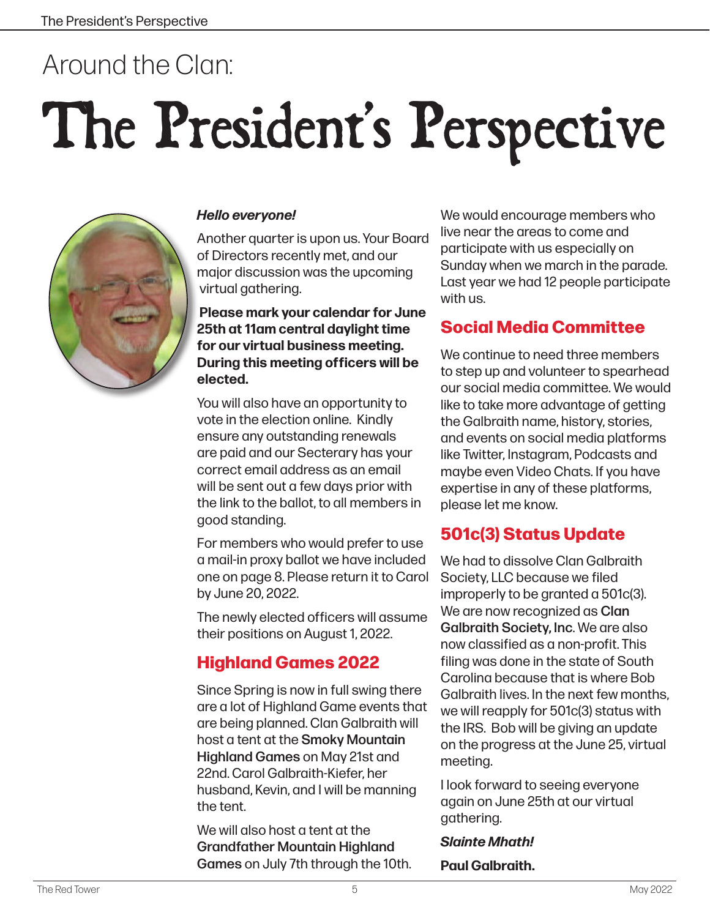## Around the Clan:

# The President's Perspective



#### *Hello everyone!*

Another quarter is upon us. Your Board of Directors recently met, and our major discussion was the upcoming virtual gathering.

**Please mark your calendar for June 25th at 11am central daylight time for our virtual business meeting. During this meeting officers will be elected.** 

You will also have an opportunity to vote in the election online. Kindly ensure any outstanding renewals are paid and our Secterary has your correct email address as an email will be sent out a few days prior with the link to the ballot, to all members in good standing.

For members who would prefer to use a mail-in proxy ballot we have included one on page 8. Please return it to Carol by June 20, 2022.

The newly elected officers will assume their positions on August 1, 2022.

#### **Highland Games 2022**

Since Spring is now in full swing there are a lot of Highland Game events that are being planned. Clan Galbraith will host a tent at the Smoky Mountain Highland Games on May 21st and 22nd. Carol Galbraith-Kiefer, her husband, Kevin, and I will be manning the tent.

We will also host a tent at the Grandfather Mountain Highland Games on July 7th through the 10th. We would encourage members who live near the areas to come and participate with us especially on Sunday when we march in the parade. Last year we had 12 people participate with us.

#### **Social Media Committee**

We continue to need three members to step up and volunteer to spearhead our social media committee. We would like to take more advantage of getting the Galbraith name, history, stories, and events on social media platforms like Twitter, Instagram, Podcasts and maybe even Video Chats. If you have expertise in any of these platforms, please let me know.

#### **501c(3) Status Update**

We had to dissolve Clan Galbraith Society, LLC because we filed improperly to be granted a 501c(3). We are now recognized as **Clan** Galbraith Society, Inc. We are also now classified as a non-profit. This filing was done in the state of South Carolina because that is where Bob Galbraith lives. In the next few months, we will reapply for 501c(3) status with the IRS. Bob will be giving an update on the progress at the June 25, virtual meeting.

I look forward to seeing everyone again on June 25th at our virtual gathering.

#### *Slainte Mhath!*

**Paul Galbraith.**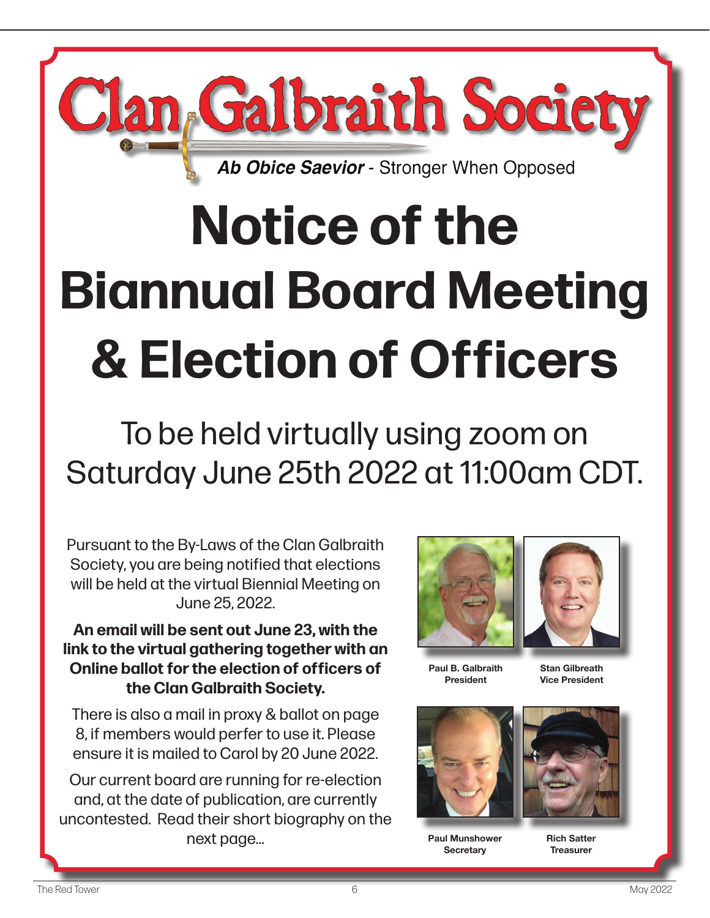

## **Notice of the Biannual Board Meeting & Election of Officers**

To be held virtually using zoom on Saturday June 25th 2022 at 11:00am CDT.

Pursuant to the By-Laws of the Clan Galbraith Society, you are being notified that elections will be held at the virtual Biennial Meeting on June 25, 2022.

**An email will be sent out June 23, with the link to the virtual gathering together with an Online ballot for the election of officers of the Clan Galbraith Society.** 

There is also a mail in proxy & ballot on page 8, if members would perfer to use it. Please ensure it is mailed to Carol by 20 June 2022.

Our current board are running for re-election and, at the date of publication, are currently uncontested. Read their short biography on the next page...



**Paul B. Galbraith President**



**Stan Gilbreath Vice President**



**Paul Munshower Secretary**

**Rich Satter Treasurer**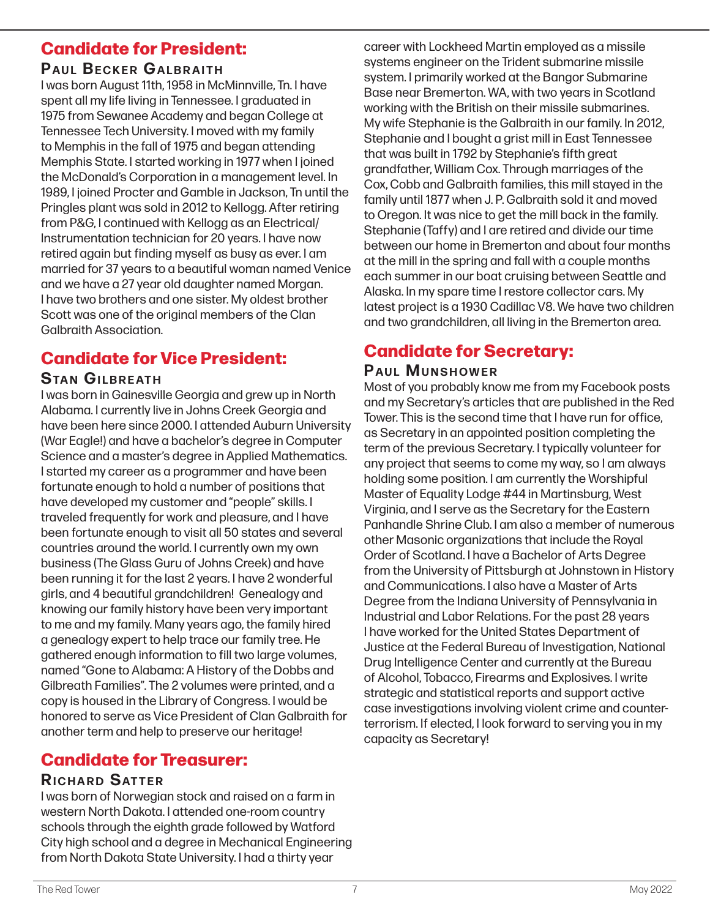#### **Candidate for President:**

#### **PAUL BECKER GALBRAITH**

I was born August 11th, 1958 in McMinnville, Tn. I have spent all my life living in Tennessee. I graduated in 1975 from Sewanee Academy and began College at Tennessee Tech University. I moved with my family to Memphis in the fall of 1975 and began attending Memphis State. I started working in 1977 when I joined the McDonald's Corporation in a management level. In 1989, I joined Procter and Gamble in Jackson, Tn until the Pringles plant was sold in 2012 to Kellogg. After retiring from P&G, I continued with Kellogg as an Electrical/ Instrumentation technician for 20 years. I have now retired again but finding myself as busy as ever. I am married for 37 years to a beautiful woman named Venice and we have a 27 year old daughter named Morgan. I have two brothers and one sister. My oldest brother Scott was one of the original members of the Clan Galbraith Association.

#### **Candidate for Vice President:**

#### **STAN GILBREATH**

I was born in Gainesville Georgia and grew up in North Alabama. I currently live in Johns Creek Georgia and have been here since 2000. I attended Auburn University (War Eagle!) and have a bachelor's degree in Computer Science and a master's degree in Applied Mathematics. I started my career as a programmer and have been fortunate enough to hold a number of positions that have developed my customer and "people" skills. I traveled frequently for work and pleasure, and I have been fortunate enough to visit all 50 states and several countries around the world. I currently own my own business (The Glass Guru of Johns Creek) and have been running it for the last 2 years. I have 2 wonderful girls, and 4 beautiful grandchildren! Genealogy and knowing our family history have been very important to me and my family. Many years ago, the family hired a genealogy expert to help trace our family tree. He gathered enough information to fill two large volumes, named "Gone to Alabama: A History of the Dobbs and Gilbreath Families". The 2 volumes were printed, and a copy is housed in the Library of Congress. I would be honored to serve as Vice President of Clan Galbraith for another term and help to preserve our heritage!

#### **Candidate for Treasurer:**

#### **RICHARD SATTER**

I was born of Norwegian stock and raised on a farm in western North Dakota. I attended one-room country schools through the eighth grade followed by Watford City high school and a degree in Mechanical Engineering from North Dakota State University. I had a thirty year

career with Lockheed Martin employed as a missile systems engineer on the Trident submarine missile system. I primarily worked at the Bangor Submarine Base near Bremerton. WA, with two years in Scotland working with the British on their missile submarines. My wife Stephanie is the Galbraith in our family. In 2012, Stephanie and I bought a grist mill in East Tennessee that was built in 1792 by Stephanie's fifth great grandfather, William Cox. Through marriages of the Cox, Cobb and Galbraith families, this mill stayed in the family until 1877 when J. P. Galbraith sold it and moved to Oregon. It was nice to get the mill back in the family. Stephanie (Taffy) and I are retired and divide our time between our home in Bremerton and about four months at the mill in the spring and fall with a couple months each summer in our boat cruising between Seattle and Alaska. In my spare time I restore collector cars. My latest project is a 1930 Cadillac V8. We have two children and two grandchildren, all living in the Bremerton area.

#### **Candidate for Secretary:**

#### **PAUL MUNSHOWER**

Most of you probably know me from my Facebook posts and my Secretary's articles that are published in the Red Tower. This is the second time that I have run for office, as Secretary in an appointed position completing the term of the previous Secretary. I typically volunteer for any project that seems to come my way, so I am always holding some position. I am currently the Worshipful Master of Equality Lodge #44 in Martinsburg, West Virginia, and I serve as the Secretary for the Eastern Panhandle Shrine Club. I am also a member of numerous other Masonic organizations that include the Royal Order of Scotland. I have a Bachelor of Arts Degree from the University of Pittsburgh at Johnstown in History and Communications. I also have a Master of Arts Degree from the Indiana University of Pennsylvania in Industrial and Labor Relations. For the past 28 years I have worked for the United States Department of Justice at the Federal Bureau of Investigation, National Drug Intelligence Center and currently at the Bureau of Alcohol, Tobacco, Firearms and Explosives. I write strategic and statistical reports and support active case investigations involving violent crime and counterterrorism. If elected, I look forward to serving you in my capacity as Secretary!